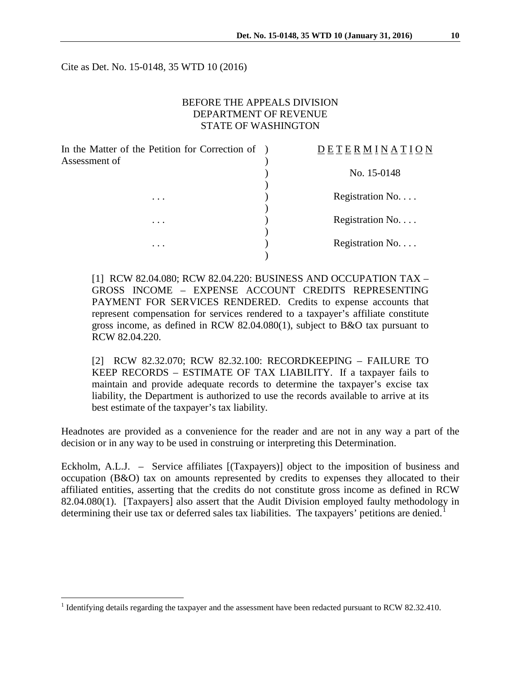Cite as Det. No. 15-0148, 35 WTD 10 (2016)

## BEFORE THE APPEALS DIVISION DEPARTMENT OF REVENUE STATE OF WASHINGTON

| In the Matter of the Petition for Correction of<br>Assessment of | DETERMINATION    |  |
|------------------------------------------------------------------|------------------|--|
|                                                                  | No. 15-0148      |  |
| $\cdots$                                                         | Registration No. |  |
| $\cdots$                                                         | Registration No. |  |
| $\cdots$                                                         | Registration No. |  |
|                                                                  |                  |  |

[1] RCW 82.04.080; RCW 82.04.220: BUSINESS AND OCCUPATION TAX – GROSS INCOME – EXPENSE ACCOUNT CREDITS REPRESENTING PAYMENT FOR SERVICES RENDERED. Credits to expense accounts that represent compensation for services rendered to a taxpayer's affiliate constitute gross income, as defined in RCW 82.04.080(1), subject to B&O tax pursuant to RCW 82.04.220.

[2] RCW 82.32.070; RCW 82.32.100: RECORDKEEPING – FAILURE TO KEEP RECORDS – ESTIMATE OF TAX LIABILITY. If a taxpayer fails to maintain and provide adequate records to determine the taxpayer's excise tax liability, the Department is authorized to use the records available to arrive at its best estimate of the taxpayer's tax liability.

Headnotes are provided as a convenience for the reader and are not in any way a part of the decision or in any way to be used in construing or interpreting this Determination.

Eckholm, A.L.J. – Service affiliates [(Taxpayers)] object to the imposition of business and occupation (B&O) tax on amounts represented by credits to expenses they allocated to their affiliated entities, asserting that the credits do not constitute gross income as defined in RCW 82.04.080(1). [Taxpayers] also assert that the Audit Division employed faulty methodology in determining their use tax or deferred sales tax liabilities. The taxpayers' petitions are denied.<sup>[1](#page-0-0)</sup>

<span id="page-0-0"></span><sup>&</sup>lt;sup>1</sup> Identifying details regarding the taxpayer and the assessment have been redacted pursuant to RCW 82.32.410.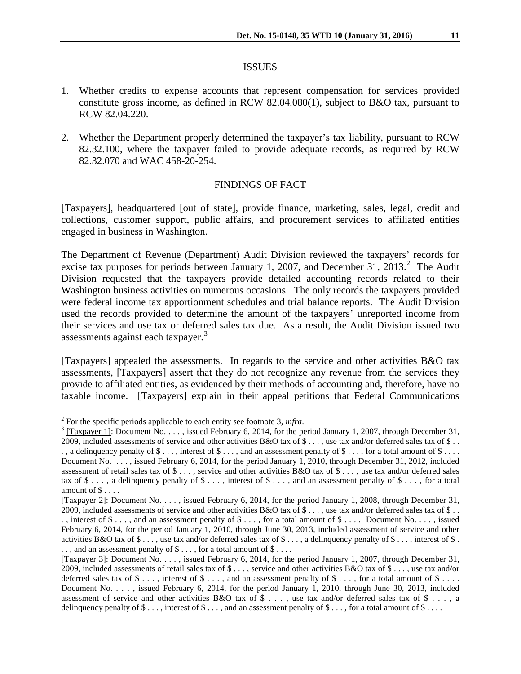#### ISSUES

- 1. Whether credits to expense accounts that represent compensation for services provided constitute gross income, as defined in RCW 82.04.080(1), subject to B&O tax, pursuant to RCW 82.04.220.
- 2. Whether the Department properly determined the taxpayer's tax liability, pursuant to RCW 82.32.100, where the taxpayer failed to provide adequate records, as required by RCW 82.32.070 and WAC 458-20-254.

### FINDINGS OF FACT

[Taxpayers], headquartered [out of state], provide finance, marketing, sales, legal, credit and collections, customer support, public affairs, and procurement services to affiliated entities engaged in business in Washington.

The Department of Revenue (Department) Audit Division reviewed the taxpayers' records for excise tax purposes for periods between January 1, [2](#page-1-0)007, and December 31, 2013.<sup>2</sup> The Audit Division requested that the taxpayers provide detailed accounting records related to their Washington business activities on numerous occasions. The only records the taxpayers provided were federal income tax apportionment schedules and trial balance reports. The Audit Division used the records provided to determine the amount of the taxpayers' unreported income from their services and use tax or deferred sales tax due. As a result, the Audit Division issued two assessments against each taxpayer.<sup>[3](#page-1-1)</sup>

[Taxpayers] appealed the assessments. In regards to the service and other activities B&O tax assessments, [Taxpayers] assert that they do not recognize any revenue from the services they provide to affiliated entities, as evidenced by their methods of accounting and, therefore, have no taxable income. [Taxpayers] explain in their appeal petitions that Federal Communications

<span id="page-1-1"></span><span id="page-1-0"></span><sup>&</sup>lt;sup>2</sup> For the specific periods applicable to each entity see footnote 3, *infra*.<br><sup>3</sup> [Taxpayer 1]: Document No. . . . , issued February 6, 2014, for the period January 1, 2007, through December 31, 2009, included assessments of service and other activities  $B&O$  tax of \$ ..., use tax and/or deferred sales tax of \$ ..  $\ldots$  a delinquency penalty of \$ ..., interest of \$ ..., and an assessment penalty of  $\ddot{\mathcal{S}}$ ..., for a total amount of  $\ddot{\mathcal{S}}$ ... Document No. . . . , issued February 6, 2014, for the period January 1, 2010, through December 31, 2012, included assessment of retail sales tax of  $\$\ldots$ , service and other activities B&O tax of  $\$\ldots$ , use tax and/or deferred sales tax of  $\$\ldots$ , a delinguency penalty of  $\$\ldots$ , interest of  $\$\ldots$ , and an assessment penalty of  $\$\ldots$ , for a total amount of \$ . . . .

<sup>[</sup>Taxpayer 2]: Document No. . . . , issued February 6, 2014, for the period January 1, 2008, through December 31, 2009, included assessments of service and other activities  $B&O$  tax of \$ ..., use tax and/or deferred sales tax of \$ .. ., interest of  $\$\ldots$ , and an assessment penalty of  $\$\ldots$ , for a total amount of  $\$\ldots$ . Document No..., issued February 6, 2014, for the period January 1, 2010, through June 30, 2013, included assessment of service and other activities B&O tax of  $\$\ldots\]$ , use tax and/or deferred sales tax of  $\$\ldots\]$ , a delinguency penalty of  $\$\ldots\]$ , interest of  $\$\ldots\]$ .., and an assessment penalty of  $\$\dots$ , for a total amount of  $\$\dots$ .

<sup>[</sup>Taxpayer 3]: Document No. . . . , issued February 6, 2014, for the period January 1, 2007, through December 31, 2009, included assessments of retail sales tax of  $\$\ldots$ , service and other activities  $B&O$  tax of  $\$\ldots$ , use tax and/or deferred sales tax of  $\$\dots$ , interest of  $\$\dots$ , and an assessment penalty of  $\$\dots$ , for a total amount of  $\$\dots$ . Document No. . . . , issued February 6, 2014, for the period January 1, 2010, through June 30, 2013, included assessment of service and other activities B&O tax of \$ . . . , use tax and/or deferred sales tax of \$ . . . , a delinquency penalty of  $\$\ldots$ , interest of  $\$\ldots$ , and an assessment penalty of  $\$\ldots$ , for a total amount of  $\$\ldots$ .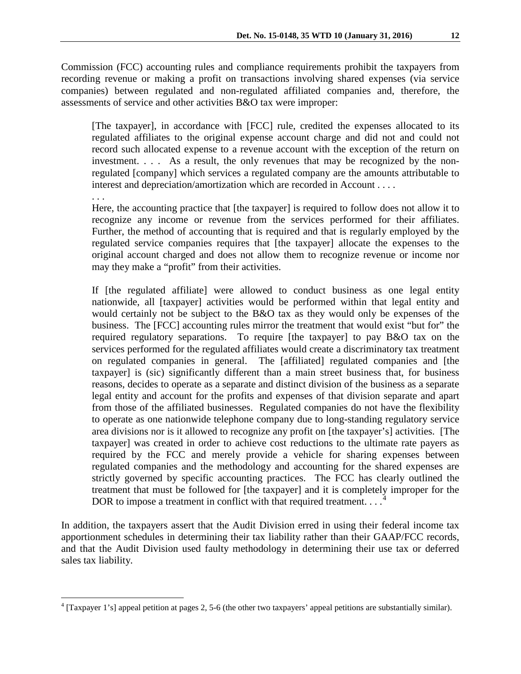Commission (FCC) accounting rules and compliance requirements prohibit the taxpayers from recording revenue or making a profit on transactions involving shared expenses (via service companies) between regulated and non-regulated affiliated companies and, therefore, the assessments of service and other activities B&O tax were improper:

[The taxpayer], in accordance with [FCC] rule, credited the expenses allocated to its regulated affiliates to the original expense account charge and did not and could not record such allocated expense to a revenue account with the exception of the return on investment. . . . As a result, the only revenues that may be recognized by the nonregulated [company] which services a regulated company are the amounts attributable to interest and depreciation/amortization which are recorded in Account . . . .

. . .

Here, the accounting practice that [the taxpayer] is required to follow does not allow it to recognize any income or revenue from the services performed for their affiliates. Further, the method of accounting that is required and that is regularly employed by the regulated service companies requires that [the taxpayer] allocate the expenses to the original account charged and does not allow them to recognize revenue or income nor may they make a "profit" from their activities.

If [the regulated affiliate] were allowed to conduct business as one legal entity nationwide, all [taxpayer] activities would be performed within that legal entity and would certainly not be subject to the B&O tax as they would only be expenses of the business. The [FCC] accounting rules mirror the treatment that would exist "but for" the required regulatory separations. To require [the taxpayer] to pay B&O tax on the services performed for the regulated affiliates would create a discriminatory tax treatment on regulated companies in general. The [affiliated] regulated companies and [the taxpayer] is (sic) significantly different than a main street business that, for business reasons, decides to operate as a separate and distinct division of the business as a separate legal entity and account for the profits and expenses of that division separate and apart from those of the affiliated businesses. Regulated companies do not have the flexibility to operate as one nationwide telephone company due to long-standing regulatory service area divisions nor is it allowed to recognize any profit on [the taxpayer's] activities. [The taxpayer] was created in order to achieve cost reductions to the ultimate rate payers as required by the FCC and merely provide a vehicle for sharing expenses between regulated companies and the methodology and accounting for the shared expenses are strictly governed by specific accounting practices. The FCC has clearly outlined the treatment that must be followed for [the taxpayer] and it is completely improper for the DOR to impose a treatment in conflict with that required treatment...

In addition, the taxpayers assert that the Audit Division erred in using their federal income tax apportionment schedules in determining their tax liability rather than their GAAP/FCC records, and that the Audit Division used faulty methodology in determining their use tax or deferred sales tax liability.

<span id="page-2-0"></span> <sup>4</sup> [Taxpayer 1's] appeal petition at pages 2, 5-6 (the other two taxpayers' appeal petitions are substantially similar).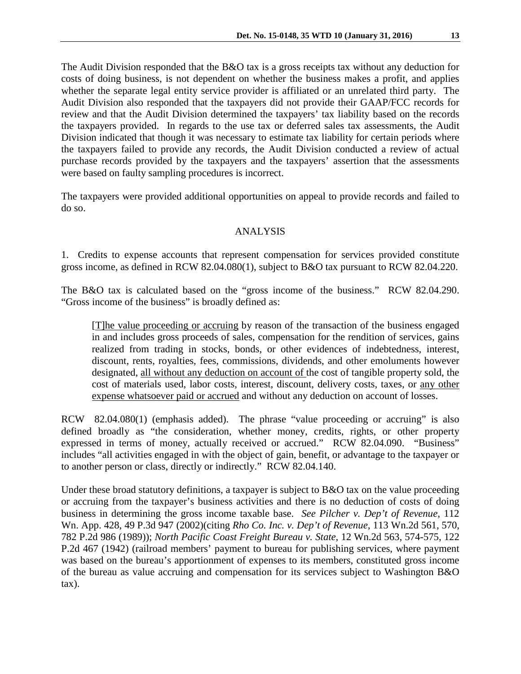The Audit Division responded that the B&O tax is a gross receipts tax without any deduction for costs of doing business, is not dependent on whether the business makes a profit, and applies whether the separate legal entity service provider is affiliated or an unrelated third party. The Audit Division also responded that the taxpayers did not provide their GAAP/FCC records for review and that the Audit Division determined the taxpayers' tax liability based on the records the taxpayers provided. In regards to the use tax or deferred sales tax assessments, the Audit Division indicated that though it was necessary to estimate tax liability for certain periods where the taxpayers failed to provide any records, the Audit Division conducted a review of actual purchase records provided by the taxpayers and the taxpayers' assertion that the assessments were based on faulty sampling procedures is incorrect.

The taxpayers were provided additional opportunities on appeal to provide records and failed to do so.

## ANALYSIS

1. Credits to expense accounts that represent compensation for services provided constitute gross income, as defined in RCW 82.04.080(1), subject to B&O tax pursuant to RCW 82.04.220.

The B&O tax is calculated based on the "gross income of the business." RCW 82.04.290. "Gross income of the business" is broadly defined as:

[T]he value proceeding or accruing by reason of the transaction of the business engaged in and includes gross proceeds of sales, compensation for the rendition of services, gains realized from trading in stocks, bonds, or other evidences of indebtedness, interest, discount, rents, royalties, fees, commissions, dividends, and other emoluments however designated, all without any deduction on account of the cost of tangible property sold, the cost of materials used, labor costs, interest, discount, delivery costs, taxes, or any other expense whatsoever paid or accrued and without any deduction on account of losses.

RCW 82.04.080(1) (emphasis added). The phrase "value proceeding or accruing" is also defined broadly as "the consideration, whether money, credits, rights, or other property expressed in terms of money, actually received or accrued." RCW 82.04.090. "Business" includes "all activities engaged in with the object of gain, benefit, or advantage to the taxpayer or to another person or class, directly or indirectly." RCW 82.04.140.

Under these broad statutory definitions, a taxpayer is subject to B&O tax on the value proceeding or accruing from the taxpayer's business activities and there is no deduction of costs of doing business in determining the gross income taxable base. *See Pilcher v. Dep't of Revenue*, 112 Wn. App. 428, 49 P.3d 947 (2002)(citing *Rho Co. Inc. v. Dep't of Revenue,* 113 Wn.2d 561, 570, 782 P.2d 986 (1989)); *North Pacific Coast Freight Bureau v. State*, 12 Wn.2d 563, 574-575, 122 P.2d 467 (1942) (railroad members' payment to bureau for publishing services, where payment was based on the bureau's apportionment of expenses to its members, constituted gross income of the bureau as value accruing and compensation for its services subject to Washington B&O tax).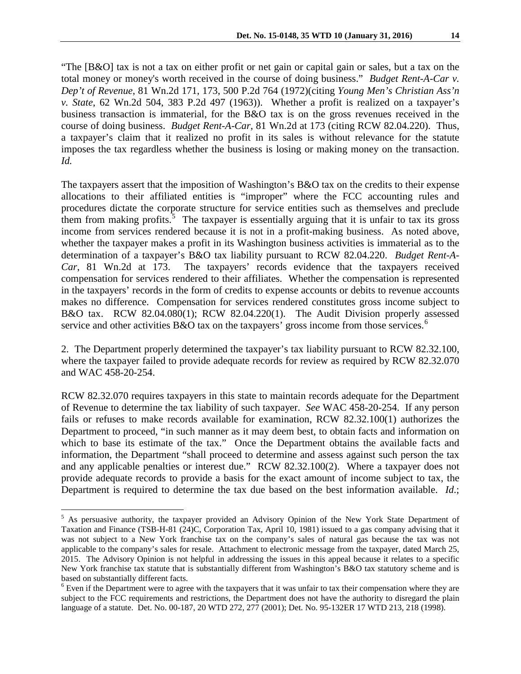"The [B&O] tax is not a tax on either profit or net gain or capital gain or sales, but a tax on the total money or money's worth received in the course of doing business." *Budget Rent-A-Car v. Dep't of Revenue*, 81 Wn.2d 171, 173, 500 P.2d 764 (1972)(citing *Young Men's Christian Ass'n v. State*, 62 Wn.2d 504, 383 P.2d 497 (1963)). Whether a profit is realized on a taxpayer's business transaction is immaterial, for the B&O tax is on the gross revenues received in the course of doing business. *Budget Rent-A-Car*, 81 Wn.2d at 173 (citing RCW 82.04.220). Thus,

a taxpayer's claim that it realized no profit in its sales is without relevance for the statute imposes the tax regardless whether the business is losing or making money on the transaction. *Id.*

The taxpayers assert that the imposition of Washington's B&O tax on the credits to their expense allocations to their affiliated entities is "improper" where the FCC accounting rules and procedures dictate the corporate structure for service entities such as themselves and preclude them from making profits.<sup>[5](#page-4-0)</sup> The taxpayer is essentially arguing that it is unfair to tax its gross income from services rendered because it is not in a profit-making business. As noted above, whether the taxpayer makes a profit in its Washington business activities is immaterial as to the determination of a taxpayer's B&O tax liability pursuant to RCW 82.04.220. *Budget Rent-A-Car*, 81 Wn.2d at 173. The taxpayers' records evidence that the taxpayers received compensation for services rendered to their affiliates. Whether the compensation is represented in the taxpayers' records in the form of credits to expense accounts or debits to revenue accounts makes no difference. Compensation for services rendered constitutes gross income subject to B&O tax. RCW 82.04.080(1); RCW 82.04.220(1). The Audit Division properly assessed service and other activities B&O tax on the taxpayers' gross income from those services.<sup>[6](#page-4-1)</sup>

2. The Department properly determined the taxpayer's tax liability pursuant to RCW 82.32.100, where the taxpayer failed to provide adequate records for review as required by RCW 82.32.070 and WAC 458-20-254.

RCW 82.32.070 requires taxpayers in this state to maintain records adequate for the Department of Revenue to determine the tax liability of such taxpayer. *See* WAC 458-20-254. If any person fails or refuses to make records available for examination, RCW 82.32.100(1) authorizes the Department to proceed, "in such manner as it may deem best, to obtain facts and information on which to base its estimate of the tax." Once the Department obtains the available facts and information, the Department "shall proceed to determine and assess against such person the tax and any applicable penalties or interest due." RCW 82.32.100(2). Where a taxpayer does not provide adequate records to provide a basis for the exact amount of income subject to tax, the Department is required to determine the tax due based on the best information available. *Id*.;

<span id="page-4-0"></span><sup>&</sup>lt;sup>5</sup> As persuasive authority, the taxpayer provided an Advisory Opinion of the New York State Department of Taxation and Finance (TSB-H-81 (24)C, Corporation Tax, April 10, 1981) issued to a gas company advising that it was not subject to a New York franchise tax on the company's sales of natural gas because the tax was not applicable to the company's sales for resale. Attachment to electronic message from the taxpayer, dated March 25, 2015. The Advisory Opinion is not helpful in addressing the issues in this appeal because it relates to a specific New York franchise tax statute that is substantially different from Washington's B&O tax statutory scheme and is based on substantially different facts.<br><sup>6</sup> Even if the Department were to agree with the taxpayers that it was unfair to tax their compensation where they are

<span id="page-4-1"></span>subject to the FCC requirements and restrictions, the Department does not have the authority to disregard the plain language of a statute. Det. No. 00-187, 20 WTD 272, 277 (2001); Det. No. 95-132ER 17 WTD 213, 218 (1998).